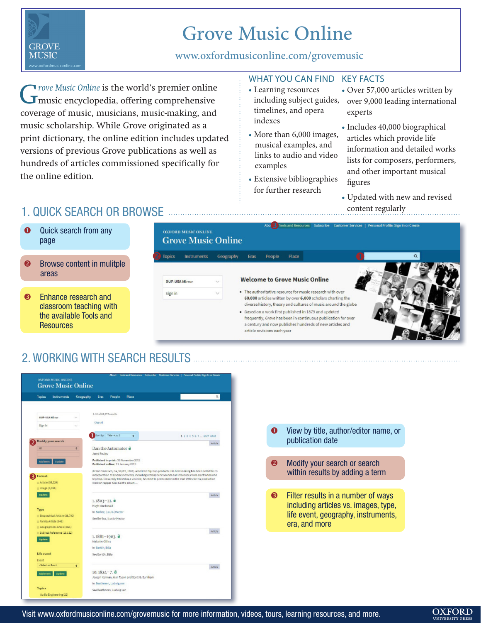# **GROVE MUSIC**

# Grove Music Online

### www.oxfordmusiconline.com/grovemusic

G<sub>rove Music Online</sub> is the world's premier online music encyclopedia, offering comprehensive coverage of music, musicians, music-making, and music scholarship. While Grove originated as a print dictionary, the online edition includes updated versions of previous Grove publications as well as hundreds of articles commissioned specifically for the online edition.

#### WHAT YOU CAN FIND KEY FACTS

- Learning resources timelines, and opera indexes
- More than 6,000 images, musical examples, and links to audio and video examples
- Extensive bibliographies for further research
- including subject guides, over 9,000 leading international • Over 57,000 articles written by experts
	- Includes 40,000 biographical articles which provide life information and detailed works lists for composers, performers, and other important musical figures
	- Updated with new and revised content regularly

# 1. QUICK SEARCH OR BROWSE

- **O** Quick search from any page
- $\bullet$  Browse content in mulitple areas
- **<sup>3</sup>** Enhance research and classroom teaching with the available Tools and **Resources**



# 2. WORKING WITH SEARCH RESULTS



- publication date
- $\bullet$  Modify your search or search within results by adding a term
- $\bullet$  Filter results in a number of ways including articles vs. images, type, life event, geography, instruments, era, and more

#### Visit www.oxfordmusiconline.com/grovemusic for more information, videos, tours, learning resources, and more.